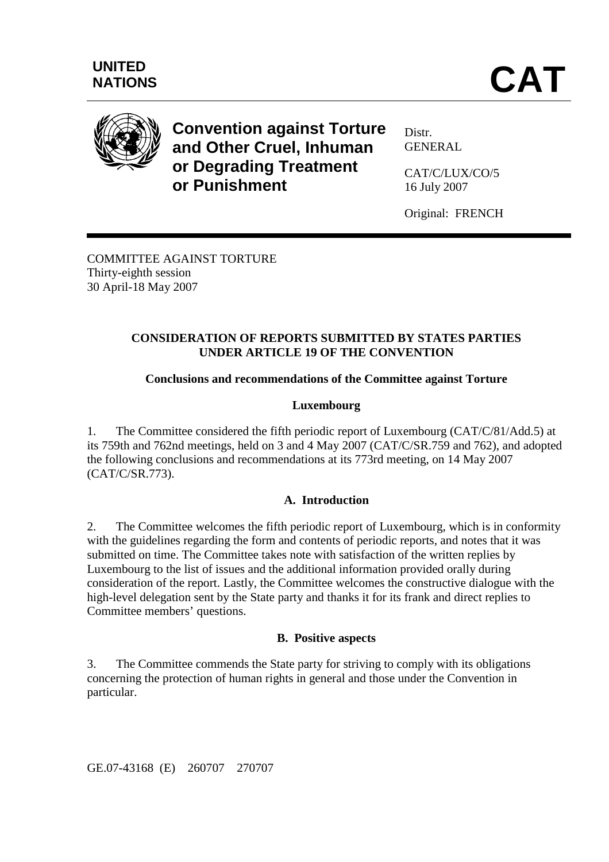

**Convention against Torture and Other Cruel, Inhuman or Degrading Treatment or Punishment** 

Distr. GENERAL

CAT/C/LUX/CO/5 16 July 2007

Original: FRENCH

COMMITTEE AGAINST TORTURE Thirty-eighth session 30 April-18 May 2007

## **CONSIDERATION OF REPORTS SUBMITTED BY STATES PARTIES UNDER ARTICLE 19 OF THE CONVENTION**

# **Conclusions and recommendations of the Committee against Torture**

# **Luxembourg**

1. The Committee considered the fifth periodic report of Luxembourg (CAT/C/81/Add.5) at its 759th and 762nd meetings, held on 3 and 4 May 2007 (CAT/C/SR.759 and 762), and adopted the following conclusions and recommendations at its 773rd meeting, on 14 May 2007 (CAT/C/SR.773).

## **A. Introduction**

2. The Committee welcomes the fifth periodic report of Luxembourg, which is in conformity with the guidelines regarding the form and contents of periodic reports, and notes that it was submitted on time. The Committee takes note with satisfaction of the written replies by Luxembourg to the list of issues and the additional information provided orally during consideration of the report. Lastly, the Committee welcomes the constructive dialogue with the high-level delegation sent by the State party and thanks it for its frank and direct replies to Committee members' questions.

## **B. Positive aspects**

3. The Committee commends the State party for striving to comply with its obligations concerning the protection of human rights in general and those under the Convention in particular.

GE.07-43168 (E) 260707 270707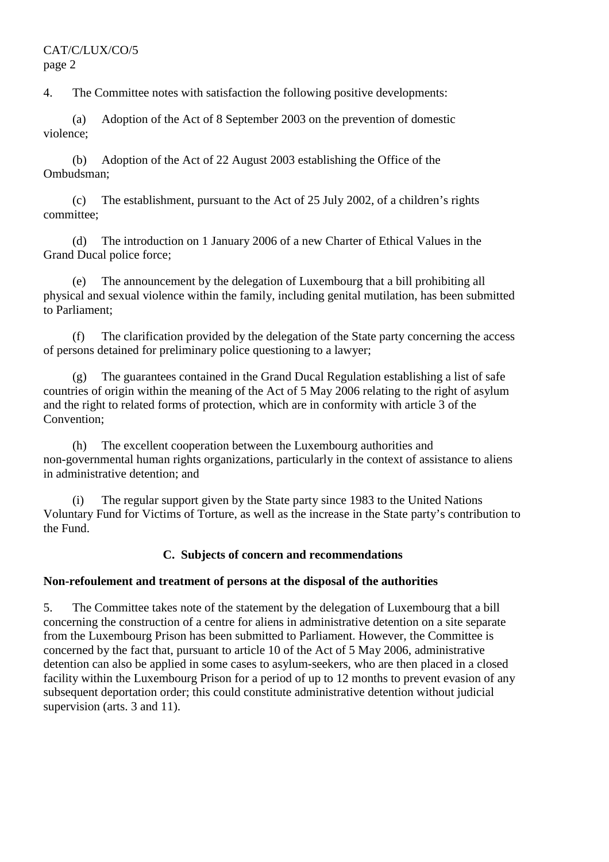4. The Committee notes with satisfaction the following positive developments:

 (a) Adoption of the Act of 8 September 2003 on the prevention of domestic violence;

 (b) Adoption of the Act of 22 August 2003 establishing the Office of the Ombudsman;

 (c) The establishment, pursuant to the Act of 25 July 2002, of a children's rights committee;

 (d) The introduction on 1 January 2006 of a new Charter of Ethical Values in the Grand Ducal police force;

 (e) The announcement by the delegation of Luxembourg that a bill prohibiting all physical and sexual violence within the family, including genital mutilation, has been submitted to Parliament;

 (f) The clarification provided by the delegation of the State party concerning the access of persons detained for preliminary police questioning to a lawyer;

 (g) The guarantees contained in the Grand Ducal Regulation establishing a list of safe countries of origin within the meaning of the Act of 5 May 2006 relating to the right of asylum and the right to related forms of protection, which are in conformity with article 3 of the Convention;

 (h) The excellent cooperation between the Luxembourg authorities and non-governmental human rights organizations, particularly in the context of assistance to aliens in administrative detention; and

 (i) The regular support given by the State party since 1983 to the United Nations Voluntary Fund for Victims of Torture, as well as the increase in the State party's contribution to the Fund.

## **C. Subjects of concern and recommendations**

## **Non-refoulement and treatment of persons at the disposal of the authorities**

5. The Committee takes note of the statement by the delegation of Luxembourg that a bill concerning the construction of a centre for aliens in administrative detention on a site separate from the Luxembourg Prison has been submitted to Parliament. However, the Committee is concerned by the fact that, pursuant to article 10 of the Act of 5 May 2006, administrative detention can also be applied in some cases to asylum-seekers, who are then placed in a closed facility within the Luxembourg Prison for a period of up to 12 months to prevent evasion of any subsequent deportation order; this could constitute administrative detention without judicial supervision (arts. 3 and 11).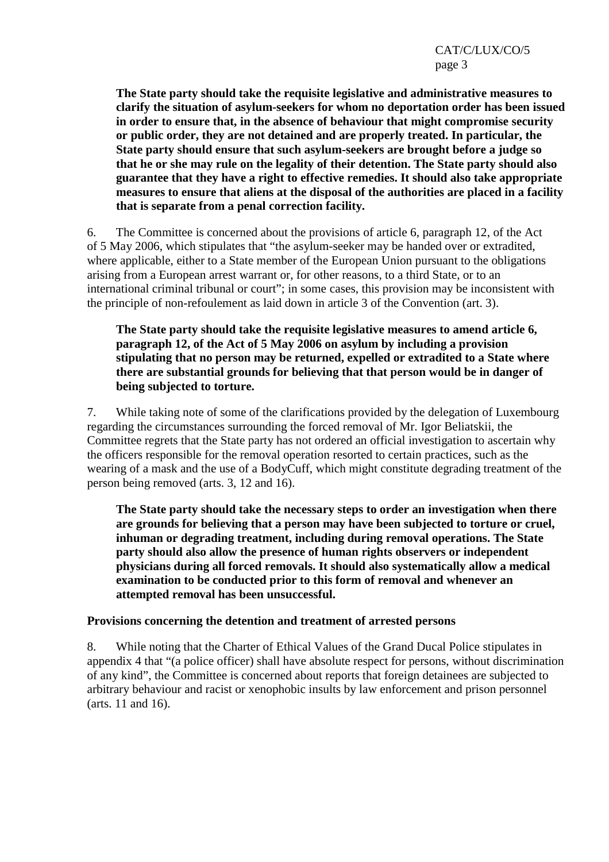**The State party should take the requisite legislative and administrative measures to clarify the situation of asylum-seekers for whom no deportation order has been issued in order to ensure that, in the absence of behaviour that might compromise security or public order, they are not detained and are properly treated. In particular, the State party should ensure that such asylum-seekers are brought before a judge so that he or she may rule on the legality of their detention. The State party should also guarantee that they have a right to effective remedies. It should also take appropriate measures to ensure that aliens at the disposal of the authorities are placed in a facility that is separate from a penal correction facility.** 

6. The Committee is concerned about the provisions of article 6, paragraph 12, of the Act of 5 May 2006, which stipulates that "the asylum-seeker may be handed over or extradited, where applicable, either to a State member of the European Union pursuant to the obligations arising from a European arrest warrant or, for other reasons, to a third State, or to an international criminal tribunal or court"; in some cases, this provision may be inconsistent with the principle of non-refoulement as laid down in article 3 of the Convention (art. 3).

**The State party should take the requisite legislative measures to amend article 6, paragraph 12, of the Act of 5 May 2006 on asylum by including a provision stipulating that no person may be returned, expelled or extradited to a State where there are substantial grounds for believing that that person would be in danger of being subjected to torture.** 

7. While taking note of some of the clarifications provided by the delegation of Luxembourg regarding the circumstances surrounding the forced removal of Mr. Igor Beliatskii, the Committee regrets that the State party has not ordered an official investigation to ascertain why the officers responsible for the removal operation resorted to certain practices, such as the wearing of a mask and the use of a BodyCuff, which might constitute degrading treatment of the person being removed (arts. 3, 12 and 16).

**The State party should take the necessary steps to order an investigation when there are grounds for believing that a person may have been subjected to torture or cruel, inhuman or degrading treatment, including during removal operations. The State party should also allow the presence of human rights observers or independent physicians during all forced removals. It should also systematically allow a medical examination to be conducted prior to this form of removal and whenever an attempted removal has been unsuccessful.** 

## **Provisions concerning the detention and treatment of arrested persons**

8. While noting that the Charter of Ethical Values of the Grand Ducal Police stipulates in appendix 4 that "(a police officer) shall have absolute respect for persons, without discrimination of any kind", the Committee is concerned about reports that foreign detainees are subjected to arbitrary behaviour and racist or xenophobic insults by law enforcement and prison personnel (arts. 11 and 16).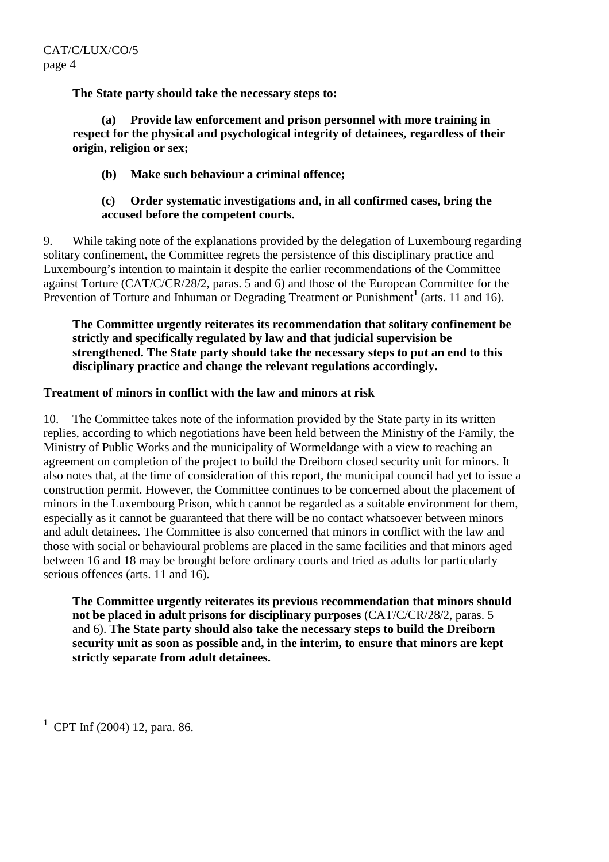**The State party should take the necessary steps to:** 

**(a) Provide law enforcement and prison personnel with more training in respect for the physical and psychological integrity of detainees, regardless of their origin, religion or sex;** 

## **(b) Make such behaviour a criminal offence;**

#### **(c) Order systematic investigations and, in all confirmed cases, bring the accused before the competent courts.**

9. While taking note of the explanations provided by the delegation of Luxembourg regarding solitary confinement, the Committee regrets the persistence of this disciplinary practice and Luxembourg's intention to maintain it despite the earlier recommendations of the Committee against Torture (CAT/C/CR/28/2, paras. 5 and 6) and those of the European Committee for the Prevention of Torture and Inhuman or Degrading Treatment or Punishment<sup>1</sup> (arts. 11 and 16).

**The Committee urgently reiterates its recommendation that solitary confinement be strictly and specifically regulated by law and that judicial supervision be strengthened. The State party should take the necessary steps to put an end to this disciplinary practice and change the relevant regulations accordingly.** 

#### **Treatment of minors in conflict with the law and minors at risk**

10. The Committee takes note of the information provided by the State party in its written replies, according to which negotiations have been held between the Ministry of the Family, the Ministry of Public Works and the municipality of Wormeldange with a view to reaching an agreement on completion of the project to build the Dreiborn closed security unit for minors. It also notes that, at the time of consideration of this report, the municipal council had yet to issue a construction permit. However, the Committee continues to be concerned about the placement of minors in the Luxembourg Prison, which cannot be regarded as a suitable environment for them, especially as it cannot be guaranteed that there will be no contact whatsoever between minors and adult detainees. The Committee is also concerned that minors in conflict with the law and those with social or behavioural problems are placed in the same facilities and that minors aged between 16 and 18 may be brought before ordinary courts and tried as adults for particularly serious offences (arts. 11 and 16).

**The Committee urgently reiterates its previous recommendation that minors should not be placed in adult prisons for disciplinary purposes** (CAT/C/CR/28/2, paras. 5 and 6). **The State party should also take the necessary steps to build the Dreiborn security unit as soon as possible and, in the interim, to ensure that minors are kept strictly separate from adult detainees.** 

 $\overline{a}$ **1** CPT Inf (2004) 12, para. 86.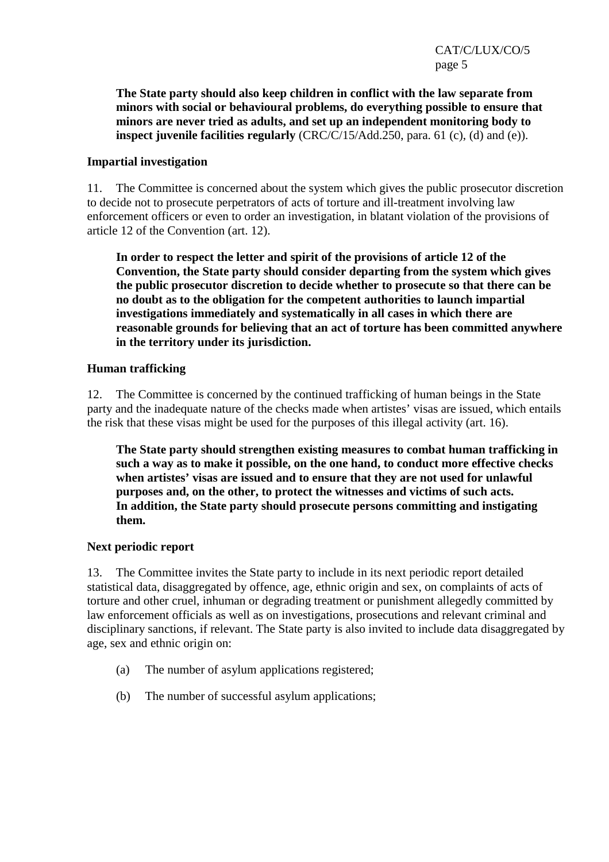**The State party should also keep children in conflict with the law separate from minors with social or behavioural problems, do everything possible to ensure that minors are never tried as adults, and set up an independent monitoring body to inspect juvenile facilities regularly** (CRC/C/15/Add.250, para. 61 (c), (d) and (e)).

#### **Impartial investigation**

11. The Committee is concerned about the system which gives the public prosecutor discretion to decide not to prosecute perpetrators of acts of torture and ill-treatment involving law enforcement officers or even to order an investigation, in blatant violation of the provisions of article 12 of the Convention (art. 12).

**In order to respect the letter and spirit of the provisions of article 12 of the Convention, the State party should consider departing from the system which gives the public prosecutor discretion to decide whether to prosecute so that there can be no doubt as to the obligation for the competent authorities to launch impartial investigations immediately and systematically in all cases in which there are reasonable grounds for believing that an act of torture has been committed anywhere in the territory under its jurisdiction.** 

#### **Human trafficking**

12. The Committee is concerned by the continued trafficking of human beings in the State party and the inadequate nature of the checks made when artistes' visas are issued, which entails the risk that these visas might be used for the purposes of this illegal activity (art. 16).

**The State party should strengthen existing measures to combat human trafficking in such a way as to make it possible, on the one hand, to conduct more effective checks when artistes' visas are issued and to ensure that they are not used for unlawful purposes and, on the other, to protect the witnesses and victims of such acts. In addition, the State party should prosecute persons committing and instigating them.** 

#### **Next periodic report**

13. The Committee invites the State party to include in its next periodic report detailed statistical data, disaggregated by offence, age, ethnic origin and sex, on complaints of acts of torture and other cruel, inhuman or degrading treatment or punishment allegedly committed by law enforcement officials as well as on investigations, prosecutions and relevant criminal and disciplinary sanctions, if relevant. The State party is also invited to include data disaggregated by age, sex and ethnic origin on:

- (a) The number of asylum applications registered;
- (b) The number of successful asylum applications;